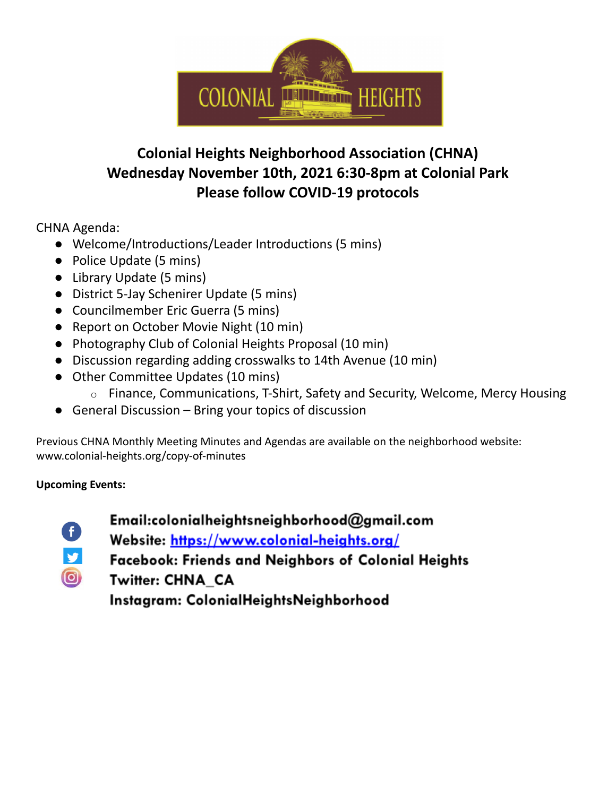

## **Colonial Heights Neighborhood Association (CHNA) Wednesday November 10th, 2021 6:30-8pm at Colonial Park Please follow COVID-19 protocols**

CHNA Agenda:

- Welcome/Introductions/Leader Introductions (5 mins)
- Police Update (5 mins)
- Library Update (5 mins)
- District 5-Jay Schenirer Update (5 mins)
- Councilmember Eric Guerra (5 mins)
- Report on October Movie Night (10 min)
- Photography Club of Colonial Heights Proposal (10 min)
- Discussion regarding adding crosswalks to 14th Avenue (10 min)
- Other Committee Updates (10 mins)
	- o Finance, Communications, T-Shirt, Safety and Security, Welcome, Mercy Housing
- $\bullet$  General Discussion Bring your topics of discussion

Previous CHNA Monthly Meeting Minutes and Agendas are available on the neighborhood website: www.colonial-heights.org/copy-of-minutes

#### **Upcoming Events:**

y

 $\bigcirc$ 

- Email:colonialheightsneighborhood@gmail.com
- Website: https://www.colonial-heights.org/
- Facebook: Friends and Neighbors of Colonial Heights
- Twitter: CHNA CA

Instagram: ColonialHeightsNeighborhood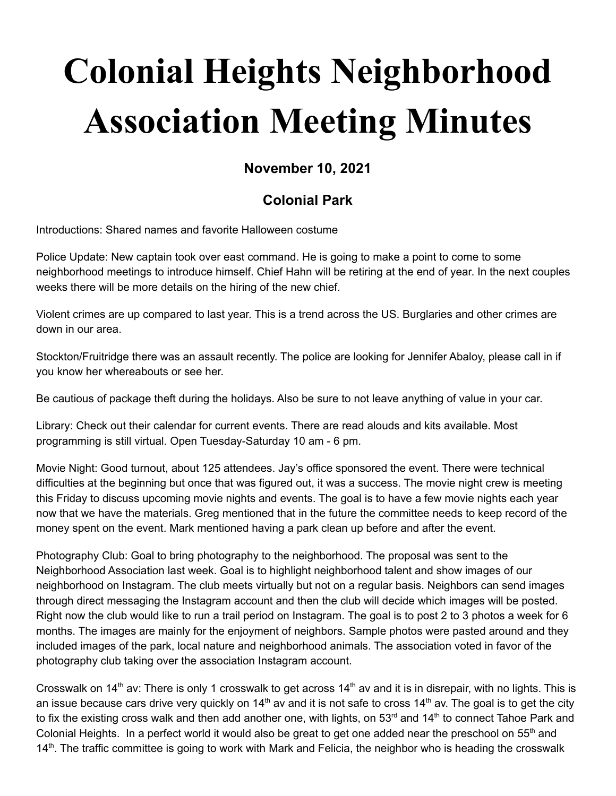# **Colonial Heights Neighborhood Association Meeting Minutes**

### **November 10, 2021**

### **Colonial Park**

Introductions: Shared names and favorite Halloween costume

Police Update: New captain took over east command. He is going to make a point to come to some neighborhood meetings to introduce himself. Chief Hahn will be retiring at the end of year. In the next couples weeks there will be more details on the hiring of the new chief.

Violent crimes are up compared to last year. This is a trend across the US. Burglaries and other crimes are down in our area.

Stockton/Fruitridge there was an assault recently. The police are looking for Jennifer Abaloy, please call in if you know her whereabouts or see her.

Be cautious of package theft during the holidays. Also be sure to not leave anything of value in your car.

Library: Check out their calendar for current events. There are read alouds and kits available. Most programming is still virtual. Open Tuesday-Saturday 10 am - 6 pm.

Movie Night: Good turnout, about 125 attendees. Jay's office sponsored the event. There were technical difficulties at the beginning but once that was figured out, it was a success. The movie night crew is meeting this Friday to discuss upcoming movie nights and events. The goal is to have a few movie nights each year now that we have the materials. Greg mentioned that in the future the committee needs to keep record of the money spent on the event. Mark mentioned having a park clean up before and after the event.

Photography Club: Goal to bring photography to the neighborhood. The proposal was sent to the Neighborhood Association last week. Goal is to highlight neighborhood talent and show images of our neighborhood on Instagram. The club meets virtually but not on a regular basis. Neighbors can send images through direct messaging the Instagram account and then the club will decide which images will be posted. Right now the club would like to run a trail period on Instagram. The goal is to post 2 to 3 photos a week for 6 months. The images are mainly for the enjoyment of neighbors. Sample photos were pasted around and they included images of the park, local nature and neighborhood animals. The association voted in favor of the photography club taking over the association Instagram account.

Crosswalk on 14<sup>th</sup> av: There is only 1 crosswalk to get across 14<sup>th</sup> av and it is in disrepair, with no lights. This is an issue because cars drive very quickly on 14<sup>th</sup> av and it is not safe to cross 14<sup>th</sup> av. The goal is to get the city to fix the existing cross walk and then add another one, with lights, on 53<sup>rd</sup> and 14<sup>th</sup> to connect Tahoe Park and Colonial Heights. In a perfect world it would also be great to get one added near the preschool on 55<sup>th</sup> and 14<sup>th</sup>. The traffic committee is going to work with Mark and Felicia, the neighbor who is heading the crosswalk